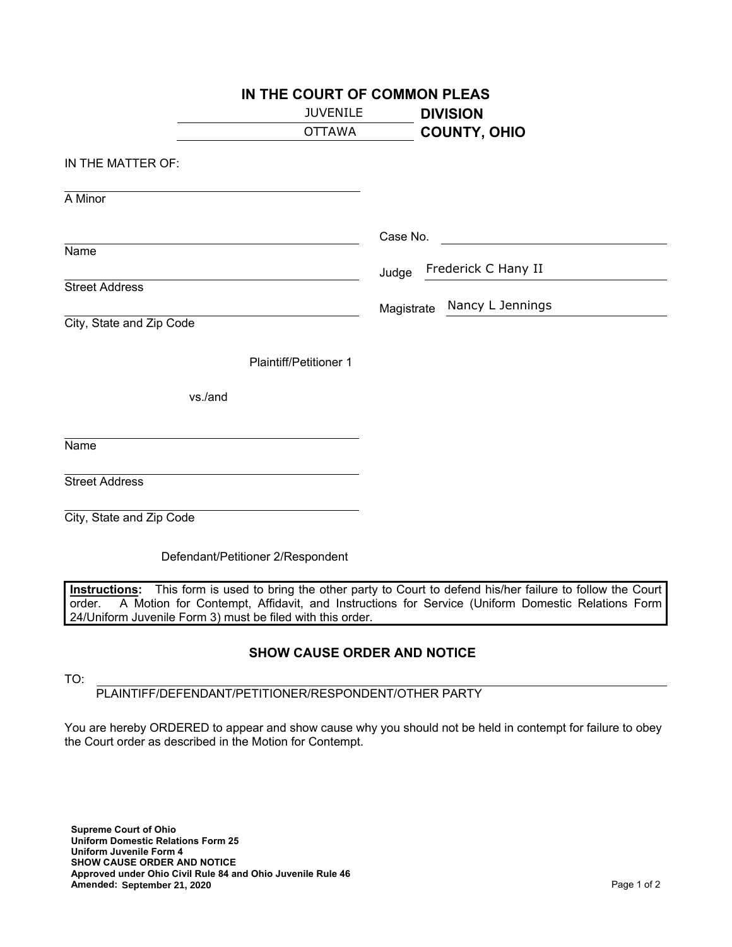| IN THE COURT OF COMMON PLEAS      |                                |  |  |  |
|-----------------------------------|--------------------------------|--|--|--|
| <b>JUVENILE</b>                   | <b>DIVISION</b>                |  |  |  |
| <b>OTTAWA</b>                     | <b>COUNTY, OHIO</b>            |  |  |  |
| IN THE MATTER OF:                 |                                |  |  |  |
| A Minor                           |                                |  |  |  |
| Name                              | Case No.                       |  |  |  |
|                                   | Frederick C Hany II<br>Judge   |  |  |  |
| <b>Street Address</b>             |                                |  |  |  |
| City, State and Zip Code          | Nancy L Jennings<br>Magistrate |  |  |  |
| <b>Plaintiff/Petitioner 1</b>     |                                |  |  |  |
| vs./and                           |                                |  |  |  |
| Name                              |                                |  |  |  |
| <b>Street Address</b>             |                                |  |  |  |
| City, State and Zip Code          |                                |  |  |  |
| Defendant/Petitioner 2/Respondent |                                |  |  |  |

**Instructions:** This form is used to bring the other party to Court to defend his/her failure to follow the Court order. A Motion for Contempt, Affidavit, and Instructions for Service (Uniform Domestic Relations Form 24/Uniform Juvenile Form 3) must be filed with this order.

## **SHOW CAUSE ORDER AND NOTICE**

| . .          |  |
|--------------|--|
|              |  |
| ٠<br>×<br>۰. |  |

PLAINTIFF/DEFENDANT/PETITIONER/RESPONDENT/OTHER PARTY

You are hereby ORDERED to appear and show cause why you should not be held in contempt for failure to obey the Court order as described in the Motion for Contempt.

**Supreme Court of Ohio Uniform Domestic Relations Form 25 Uniform Juvenile Form 4 SHOW CAUSE ORDER AND NOTICE Approved under Ohio Civil Rule 84 and Ohio Juvenile Rule 46 Amended:** Page 1 of 2 **September 21, 2020**